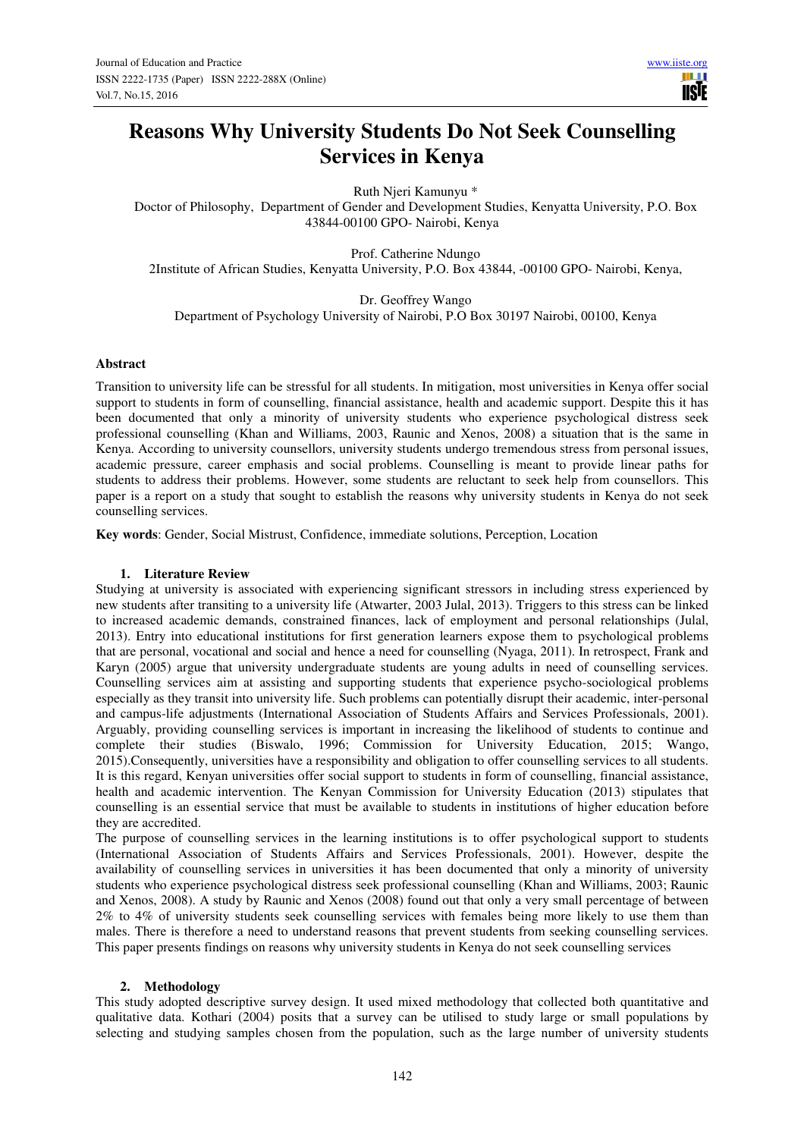# **Reasons Why University Students Do Not Seek Counselling Services in Kenya**

Ruth Njeri Kamunyu \*

Doctor of Philosophy, Department of Gender and Development Studies, Kenyatta University, P.O. Box 43844-00100 GPO- Nairobi, Kenya

Prof. Catherine Ndungo 2Institute of African Studies, Kenyatta University, P.O. Box 43844, -00100 GPO- Nairobi, Kenya,

Dr. Geoffrey Wango Department of Psychology University of Nairobi, P.O Box 30197 Nairobi, 00100, Kenya

## **Abstract**

Transition to university life can be stressful for all students. In mitigation, most universities in Kenya offer social support to students in form of counselling, financial assistance, health and academic support. Despite this it has been documented that only a minority of university students who experience psychological distress seek professional counselling (Khan and Williams, 2003, Raunic and Xenos, 2008) a situation that is the same in Kenya. According to university counsellors, university students undergo tremendous stress from personal issues, academic pressure, career emphasis and social problems. Counselling is meant to provide linear paths for students to address their problems. However, some students are reluctant to seek help from counsellors. This paper is a report on a study that sought to establish the reasons why university students in Kenya do not seek counselling services.

**Key words**: Gender, Social Mistrust, Confidence, immediate solutions, Perception, Location

## **1. Literature Review**

Studying at university is associated with experiencing significant stressors in including stress experienced by new students after transiting to a university life (Atwarter, 2003 Julal, 2013). Triggers to this stress can be linked to increased academic demands, constrained finances, lack of employment and personal relationships (Julal, 2013). Entry into educational institutions for first generation learners expose them to psychological problems that are personal, vocational and social and hence a need for counselling (Nyaga, 2011). In retrospect, Frank and Karyn (2005) argue that university undergraduate students are young adults in need of counselling services. Counselling services aim at assisting and supporting students that experience psycho-sociological problems especially as they transit into university life. Such problems can potentially disrupt their academic, inter-personal and campus-life adjustments (International Association of Students Affairs and Services Professionals, 2001). Arguably, providing counselling services is important in increasing the likelihood of students to continue and complete their studies (Biswalo, 1996; Commission for University Education, 2015; Wango, 2015).Consequently, universities have a responsibility and obligation to offer counselling services to all students. It is this regard, Kenyan universities offer social support to students in form of counselling, financial assistance, health and academic intervention. The Kenyan Commission for University Education (2013) stipulates that counselling is an essential service that must be available to students in institutions of higher education before they are accredited.

The purpose of counselling services in the learning institutions is to offer psychological support to students (International Association of Students Affairs and Services Professionals, 2001). However, despite the availability of counselling services in universities it has been documented that only a minority of university students who experience psychological distress seek professional counselling (Khan and Williams, 2003; Raunic and Xenos, 2008). A study by Raunic and Xenos (2008) found out that only a very small percentage of between 2% to 4% of university students seek counselling services with females being more likely to use them than males. There is therefore a need to understand reasons that prevent students from seeking counselling services. This paper presents findings on reasons why university students in Kenya do not seek counselling services

#### **2. Methodology**

This study adopted descriptive survey design. It used mixed methodology that collected both quantitative and qualitative data. Kothari (2004) posits that a survey can be utilised to study large or small populations by selecting and studying samples chosen from the population, such as the large number of university students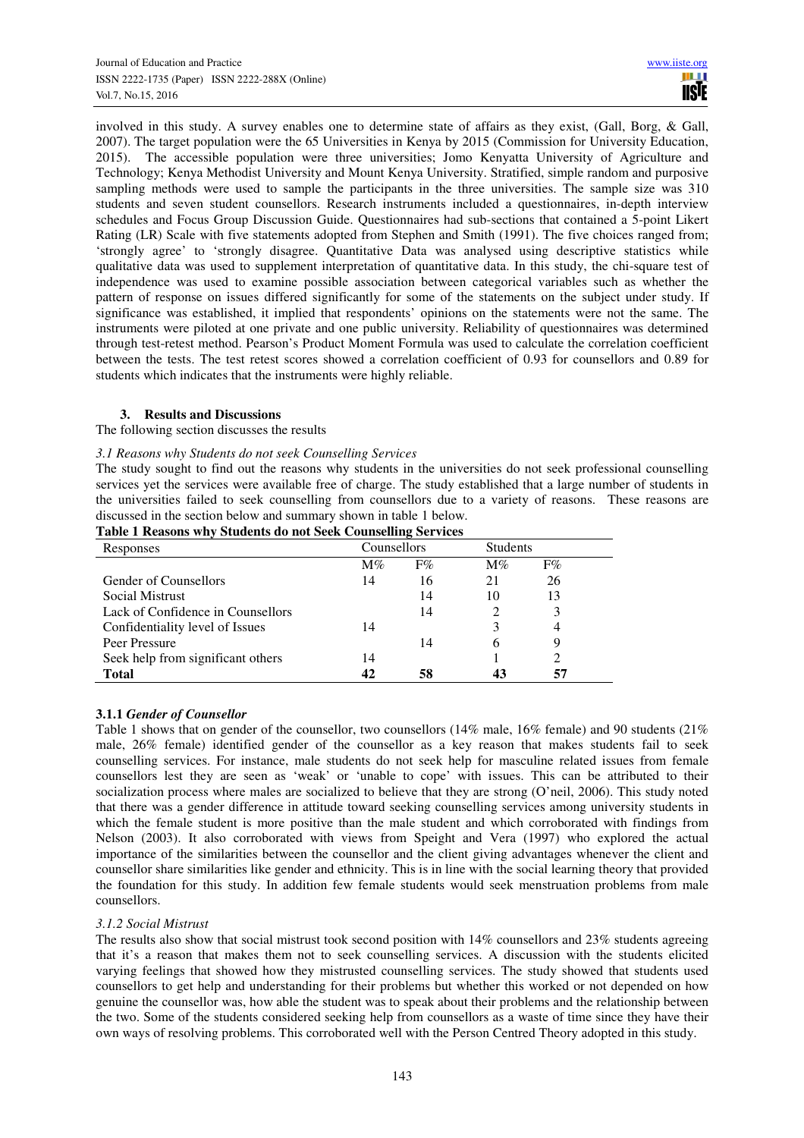involved in this study. A survey enables one to determine state of affairs as they exist, (Gall, Borg, & Gall, 2007). The target population were the 65 Universities in Kenya by 2015 (Commission for University Education, 2015). The accessible population were three universities; Jomo Kenyatta University of Agriculture and Technology; Kenya Methodist University and Mount Kenya University. Stratified, simple random and purposive sampling methods were used to sample the participants in the three universities. The sample size was 310 students and seven student counsellors. Research instruments included a questionnaires, in-depth interview schedules and Focus Group Discussion Guide. Questionnaires had sub-sections that contained a 5-point Likert Rating (LR) Scale with five statements adopted from Stephen and Smith (1991). The five choices ranged from; 'strongly agree' to 'strongly disagree. Quantitative Data was analysed using descriptive statistics while qualitative data was used to supplement interpretation of quantitative data. In this study, the chi-square test of independence was used to examine possible association between categorical variables such as whether the pattern of response on issues differed significantly for some of the statements on the subject under study. If significance was established, it implied that respondents' opinions on the statements were not the same. The instruments were piloted at one private and one public university. Reliability of questionnaires was determined through test-retest method. Pearson's Product Moment Formula was used to calculate the correlation coefficient between the tests. The test retest scores showed a correlation coefficient of 0.93 for counsellors and 0.89 for students which indicates that the instruments were highly reliable.

## **3. Results and Discussions**

The following section discusses the results

## *3.1 Reasons why Students do not seek Counselling Services*

The study sought to find out the reasons why students in the universities do not seek professional counselling services yet the services were available free of charge. The study established that a large number of students in the universities failed to seek counselling from counsellors due to a variety of reasons. These reasons are discussed in the section below and summary shown in table 1 below.

| Responses                         | Counsellors |       |       | <b>Students</b> |  |
|-----------------------------------|-------------|-------|-------|-----------------|--|
|                                   | $M\%$       | $F\%$ | $M\%$ | $F\%$           |  |
| <b>Gender of Counsellors</b>      | 14          | 16    | 21    | 26              |  |
| Social Mistrust                   |             | 14    | 10    | 13              |  |
| Lack of Confidence in Counsellors |             | 14    |       | 3               |  |
| Confidentiality level of Issues   | 14          |       |       |                 |  |
| Peer Pressure                     |             | 14    | h     | Q               |  |
| Seek help from significant others | 14          |       |       |                 |  |
| <b>Total</b>                      | 42          | 58    |       | 57              |  |

## **Table 1 Reasons why Students do not Seek Counselling Services**

## **3.1.1** *Gender of Counsellor*

Table 1 shows that on gender of the counsellor, two counsellors (14% male, 16% female) and 90 students (21% male, 26% female) identified gender of the counsellor as a key reason that makes students fail to seek counselling services. For instance, male students do not seek help for masculine related issues from female counsellors lest they are seen as 'weak' or 'unable to cope' with issues. This can be attributed to their socialization process where males are socialized to believe that they are strong (O'neil, 2006). This study noted that there was a gender difference in attitude toward seeking counselling services among university students in which the female student is more positive than the male student and which corroborated with findings from Nelson (2003). It also corroborated with views from Speight and Vera (1997) who explored the actual importance of the similarities between the counsellor and the client giving advantages whenever the client and counsellor share similarities like gender and ethnicity. This is in line with the social learning theory that provided the foundation for this study. In addition few female students would seek menstruation problems from male counsellors.

# *3.1.2 Social Mistrust*

The results also show that social mistrust took second position with 14% counsellors and 23% students agreeing that it's a reason that makes them not to seek counselling services. A discussion with the students elicited varying feelings that showed how they mistrusted counselling services. The study showed that students used counsellors to get help and understanding for their problems but whether this worked or not depended on how genuine the counsellor was, how able the student was to speak about their problems and the relationship between the two. Some of the students considered seeking help from counsellors as a waste of time since they have their own ways of resolving problems. This corroborated well with the Person Centred Theory adopted in this study.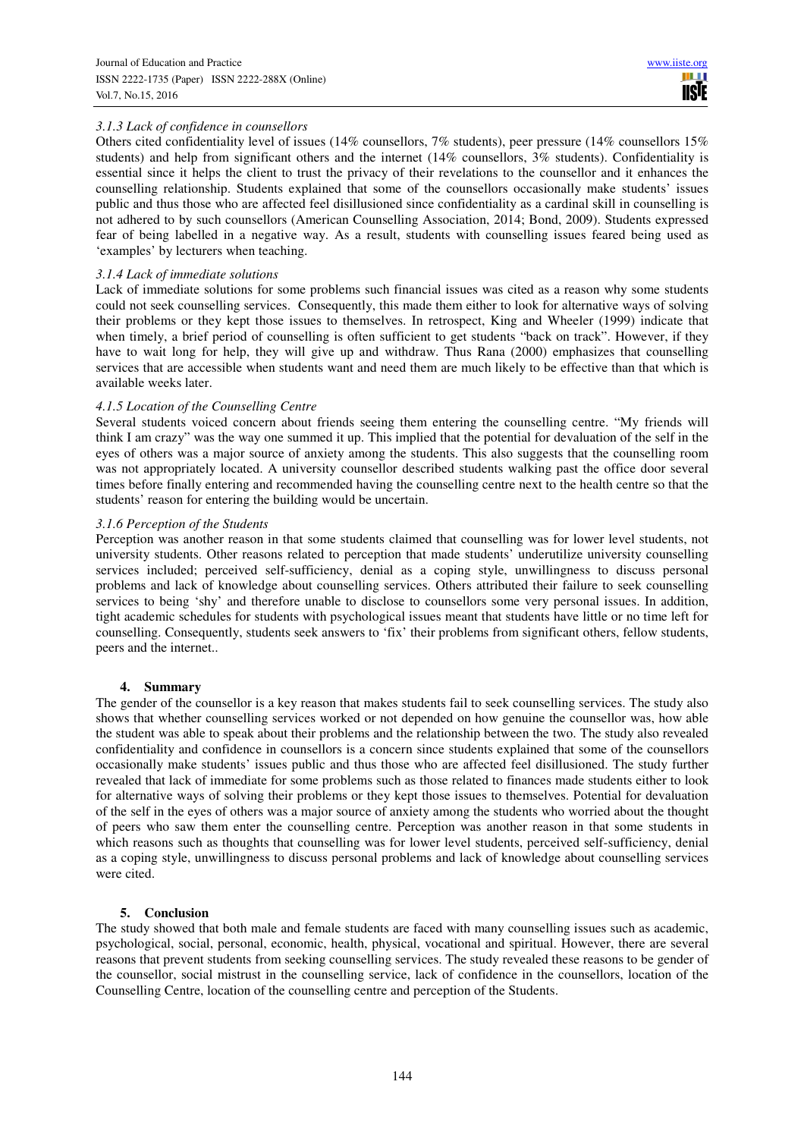# *3.1.3 Lack of confidence in counsellors*

Others cited confidentiality level of issues (14% counsellors, 7% students), peer pressure (14% counsellors 15% students) and help from significant others and the internet (14% counsellors, 3% students). Confidentiality is essential since it helps the client to trust the privacy of their revelations to the counsellor and it enhances the counselling relationship. Students explained that some of the counsellors occasionally make students' issues public and thus those who are affected feel disillusioned since confidentiality as a cardinal skill in counselling is not adhered to by such counsellors (American Counselling Association, 2014; Bond, 2009). Students expressed fear of being labelled in a negative way. As a result, students with counselling issues feared being used as 'examples' by lecturers when teaching.

## *3.1.4 Lack of immediate solutions*

Lack of immediate solutions for some problems such financial issues was cited as a reason why some students could not seek counselling services. Consequently, this made them either to look for alternative ways of solving their problems or they kept those issues to themselves. In retrospect, King and Wheeler (1999) indicate that when timely, a brief period of counselling is often sufficient to get students "back on track". However, if they have to wait long for help, they will give up and withdraw. Thus Rana (2000) emphasizes that counselling services that are accessible when students want and need them are much likely to be effective than that which is available weeks later.

## *4.1.5 Location of the Counselling Centre*

Several students voiced concern about friends seeing them entering the counselling centre. "My friends will think I am crazy" was the way one summed it up. This implied that the potential for devaluation of the self in the eyes of others was a major source of anxiety among the students. This also suggests that the counselling room was not appropriately located. A university counsellor described students walking past the office door several times before finally entering and recommended having the counselling centre next to the health centre so that the students' reason for entering the building would be uncertain.

## *3.1.6 Perception of the Students*

Perception was another reason in that some students claimed that counselling was for lower level students, not university students. Other reasons related to perception that made students' underutilize university counselling services included; perceived self-sufficiency, denial as a coping style, unwillingness to discuss personal problems and lack of knowledge about counselling services. Others attributed their failure to seek counselling services to being 'shy' and therefore unable to disclose to counsellors some very personal issues. In addition, tight academic schedules for students with psychological issues meant that students have little or no time left for counselling. Consequently, students seek answers to 'fix' their problems from significant others, fellow students, peers and the internet..

#### **4. Summary**

The gender of the counsellor is a key reason that makes students fail to seek counselling services. The study also shows that whether counselling services worked or not depended on how genuine the counsellor was, how able the student was able to speak about their problems and the relationship between the two. The study also revealed confidentiality and confidence in counsellors is a concern since students explained that some of the counsellors occasionally make students' issues public and thus those who are affected feel disillusioned. The study further revealed that lack of immediate for some problems such as those related to finances made students either to look for alternative ways of solving their problems or they kept those issues to themselves. Potential for devaluation of the self in the eyes of others was a major source of anxiety among the students who worried about the thought of peers who saw them enter the counselling centre. Perception was another reason in that some students in which reasons such as thoughts that counselling was for lower level students, perceived self-sufficiency, denial as a coping style, unwillingness to discuss personal problems and lack of knowledge about counselling services were cited.

#### **5. Conclusion**

The study showed that both male and female students are faced with many counselling issues such as academic, psychological, social, personal, economic, health, physical, vocational and spiritual. However, there are several reasons that prevent students from seeking counselling services. The study revealed these reasons to be gender of the counsellor, social mistrust in the counselling service, lack of confidence in the counsellors, location of the Counselling Centre, location of the counselling centre and perception of the Students.